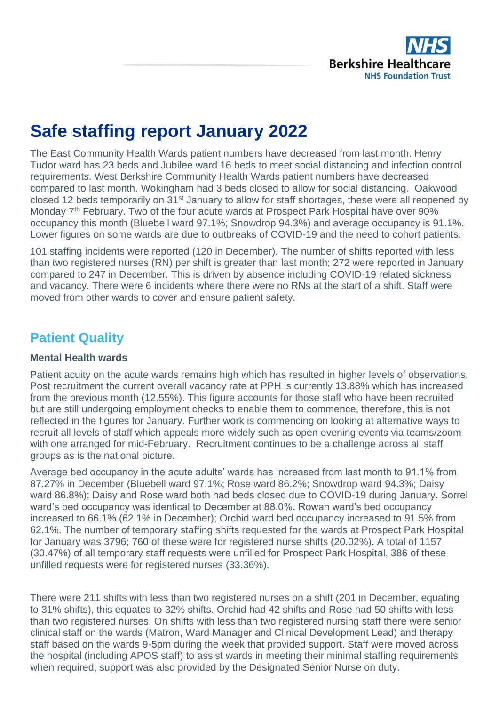

## **Safe staffing report January 2022**

The East Community Health Wards patient numbers have decreased from last month. Henry Tudor ward has 23 beds and Jubilee ward 16 beds to meet social distancing and infection control requirements. West Berkshire Community Health Wards patient numbers have decreased compared to last month. Wokingham had 3 beds closed to allow for social distancing. Oakwood closed 12 beds temporarily on 31<sup>st</sup> January to allow for staff shortages, these were all reopened by Monday 7<sup>th</sup> February. Two of the four acute wards at Prospect Park Hospital have over 90% occupancy this month (Bluebell ward 97.1%; Snowdrop 94.3%) and average occupancy is 91.1%. Lower figures on some wards are due to outbreaks of COVID-19 and the need to cohort patients.

101 staffing incidents were reported (120 in December). The number of shifts reported with less than two registered nurses (RN) per shift is greater than last month; 272 were reported in January compared to 247 in December. This is driven by absence including COVID-19 related sickness and vacancy. There were 6 incidents where there were no RNs at the start of a shift. Staff were moved from other wards to cover and ensure patient safety.

## **Patient Quality**

#### **Mental Health wards**

Patient acuity on the acute wards remains high which has resulted in higher levels of observations. Post recruitment the current overall vacancy rate at PPH is currently 13.88% which has increased from the previous month (12.55%). This figure accounts for those staff who have been recruited but are still undergoing employment checks to enable them to commence, therefore, this is not reflected in the figures for January. Further work is commencing on looking at alternative ways to recruit all levels of staff which appeals more widely such as open evening events via teams/zoom with one arranged for mid-February. Recruitment continues to be a challenge across all staff groups as is the national picture.

Average bed occupancy in the acute adults' wards has increased from last month to 91.1% from 87.27% in December (Bluebell ward 97.1%; Rose ward 86.2%; Snowdrop ward 94.3%; Daisy ward 86.8%); Daisy and Rose ward both had beds closed due to COVID-19 during January. Sorrel ward's bed occupancy was identical to December at 88.0%. Rowan ward's bed occupancy increased to 66.1% (62.1% in December); Orchid ward bed occupancy increased to 91.5% from 62.1%. The number of temporary staffing shifts requested for the wards at Prospect Park Hospital for January was 3796; 760 of these were for registered nurse shifts (20.02%). A total of 1157 (30.47%) of all temporary staff requests were unfilled for Prospect Park Hospital, 386 of these unfilled requests were for registered nurses (33.36%).

There were 211 shifts with less than two registered nurses on a shift (201 in December, equating to 31% shifts), this equates to 32% shifts. Orchid had 42 shifts and Rose had 50 shifts with less than two registered nurses. On shifts with less than two registered nursing staff there were senior clinical staff on the wards (Matron, Ward Manager and Clinical Development Lead) and therapy staff based on the wards 9-5pm during the week that provided support. Staff were moved across the hospital (including APOS staff) to assist wards in meeting their minimal staffing requirements when required, support was also provided by the Designated Senior Nurse on duty.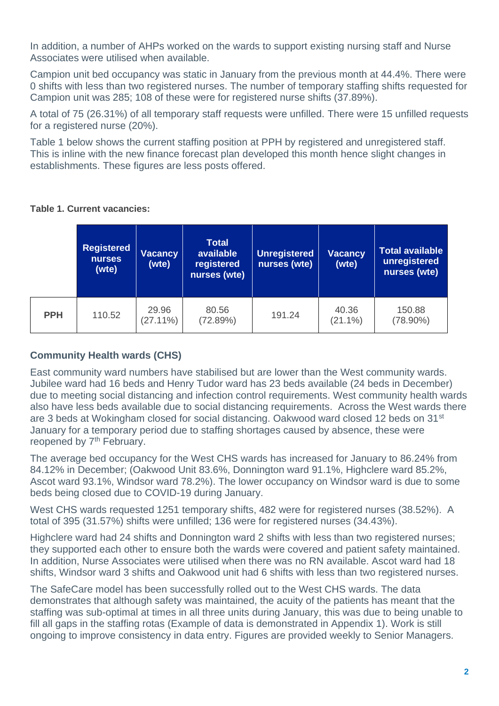In addition, a number of AHPs worked on the wards to support existing nursing staff and Nurse Associates were utilised when available.

Campion unit bed occupancy was static in January from the previous month at 44.4%. There were 0 shifts with less than two registered nurses. The number of temporary staffing shifts requested for Campion unit was 285; 108 of these were for registered nurse shifts (37.89%).

A total of 75 (26.31%) of all temporary staff requests were unfilled. There were 15 unfilled requests for a registered nurse (20%).

Table 1 below shows the current staffing position at PPH by registered and unregistered staff. This is inline with the new finance forecast plan developed this month hence slight changes in establishments. These figures are less posts offered.

|            | <b>Registered</b><br><b>nurses</b><br>(wte) | <b>Vacancy</b><br>(wte) | <b>Total</b><br>available<br>registered<br>nurses (wte) | <b>Unregistered</b><br>nurses (wte) | <b>Vacancy</b><br>(wte) | Total available<br>unregistered<br>nurses (wte) |  |  |
|------------|---------------------------------------------|-------------------------|---------------------------------------------------------|-------------------------------------|-------------------------|-------------------------------------------------|--|--|
| <b>PPH</b> | 110.52                                      | 29.96<br>$(27.11\%)$    | 80.56<br>(72.89%)                                       | 191.24                              | 40.36<br>$(21.1\%)$     | 150.88<br>$(78.90\%)$                           |  |  |

#### **Table 1. Current vacancies:**

#### **Community Health wards (CHS)**

East community ward numbers have stabilised but are lower than the West community wards. Jubilee ward had 16 beds and Henry Tudor ward has 23 beds available (24 beds in December) due to meeting social distancing and infection control requirements. West community health wards also have less beds available due to social distancing requirements. Across the West wards there are 3 beds at Wokingham closed for social distancing. Oakwood ward closed 12 beds on 31st January for a temporary period due to staffing shortages caused by absence, these were reopened by 7<sup>th</sup> February.

The average bed occupancy for the West CHS wards has increased for January to 86.24% from 84.12% in December; (Oakwood Unit 83.6%, Donnington ward 91.1%, Highclere ward 85.2%, Ascot ward 93.1%, Windsor ward 78.2%). The lower occupancy on Windsor ward is due to some beds being closed due to COVID-19 during January.

West CHS wards requested 1251 temporary shifts, 482 were for registered nurses (38.52%). A total of 395 (31.57%) shifts were unfilled; 136 were for registered nurses (34.43%).

Highclere ward had 24 shifts and Donnington ward 2 shifts with less than two registered nurses; they supported each other to ensure both the wards were covered and patient safety maintained. In addition, Nurse Associates were utilised when there was no RN available. Ascot ward had 18 shifts, Windsor ward 3 shifts and Oakwood unit had 6 shifts with less than two registered nurses.

The SafeCare model has been successfully rolled out to the West CHS wards. The data demonstrates that although safety was maintained, the acuity of the patients has meant that the staffing was sub-optimal at times in all three units during January, this was due to being unable to fill all gaps in the staffing rotas (Example of data is demonstrated in Appendix 1). Work is still ongoing to improve consistency in data entry. Figures are provided weekly to Senior Managers.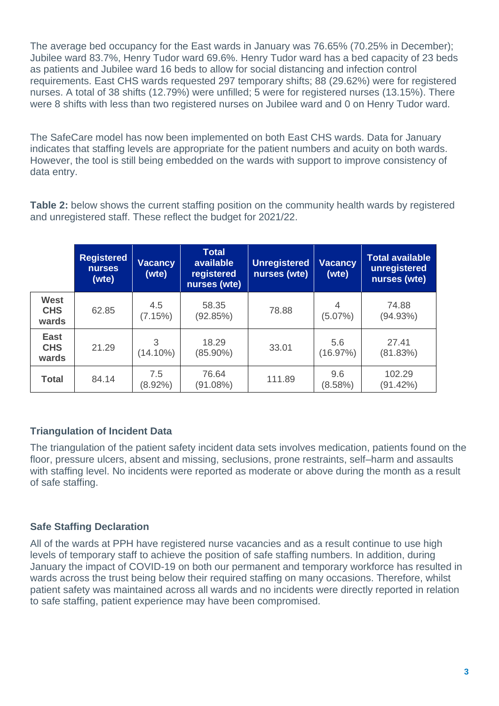The average bed occupancy for the East wards in January was 76.65% (70.25% in December); Jubilee ward 83.7%, Henry Tudor ward 69.6%. Henry Tudor ward has a bed capacity of 23 beds as patients and Jubilee ward 16 beds to allow for social distancing and infection control requirements. East CHS wards requested 297 temporary shifts; 88 (29.62%) were for registered nurses. A total of 38 shifts (12.79%) were unfilled; 5 were for registered nurses (13.15%). There were 8 shifts with less than two registered nurses on Jubilee ward and 0 on Henry Tudor ward.

The SafeCare model has now been implemented on both East CHS wards. Data for January indicates that staffing levels are appropriate for the patient numbers and acuity on both wards. However, the tool is still being embedded on the wards with support to improve consistency of data entry.

**Table 2:** below shows the current staffing position on the community health wards by registered and unregistered staff. These reflect the budget for 2021/22.

|                                    | <b>Registered</b><br><b>nurses</b><br>(wte) | <b>Vacancy</b><br>(wte) | <b>Total</b><br>available<br>registered<br>nurses (wte) | <b>Unregistered</b><br>nurses (wte) | <b>Vacancy</b><br>(wte) | <b>Total available</b><br>unregistered<br>nurses (wte) |
|------------------------------------|---------------------------------------------|-------------------------|---------------------------------------------------------|-------------------------------------|-------------------------|--------------------------------------------------------|
| <b>West</b><br><b>CHS</b><br>wards | 62.85                                       | 4.5<br>(7.15%)          | 58.35<br>(92.85%)                                       | 78.88                               | 4<br>$(5.07\%)$         | 74.88<br>(94.93%)                                      |
| <b>East</b><br><b>CHS</b><br>wards | 21.29                                       | 3<br>$(14.10\%)$        | 18.29<br>$(85.90\%)$                                    | 33.01                               | 5.6<br>(16.97%)         | 27.41<br>(81.83%)                                      |
| <b>Total</b>                       | 84.14                                       | 7.5<br>$(8.92\%)$       | 76.64<br>(91.08%)                                       | 111.89                              | 9.6<br>(8.58%)          | 102.29<br>(91.42%)                                     |

#### **Triangulation of Incident Data**

The triangulation of the patient safety incident data sets involves medication, patients found on the floor, pressure ulcers, absent and missing, seclusions, prone restraints, self–harm and assaults with staffing level. No incidents were reported as moderate or above during the month as a result of safe staffing.

#### **Safe Staffing Declaration**

All of the wards at PPH have registered nurse vacancies and as a result continue to use high levels of temporary staff to achieve the position of safe staffing numbers. In addition, during January the impact of COVID-19 on both our permanent and temporary workforce has resulted in wards across the trust being below their required staffing on many occasions. Therefore, whilst patient safety was maintained across all wards and no incidents were directly reported in relation to safe staffing, patient experience may have been compromised.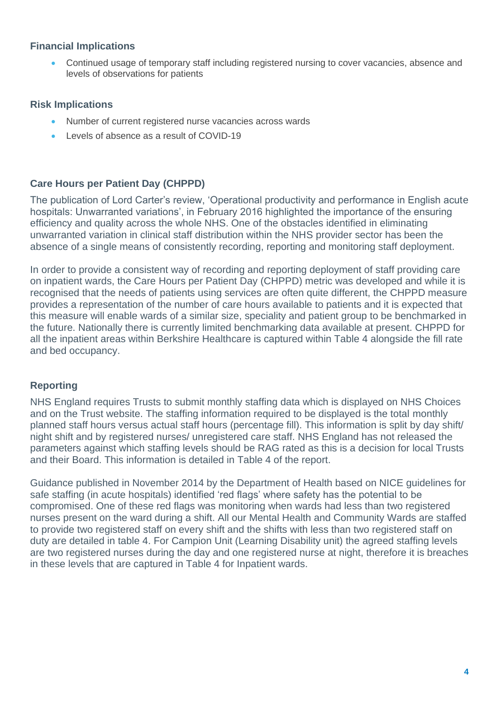#### **Financial Implications**

• Continued usage of temporary staff including registered nursing to cover vacancies, absence and levels of observations for patients

#### **Risk Implications**

- Number of current registered nurse vacancies across wards
- Levels of absence as a result of COVID-19

#### **Care Hours per Patient Day (CHPPD)**

The publication of Lord Carter's review, 'Operational productivity and performance in English acute hospitals: Unwarranted variations', in February 2016 highlighted the importance of the ensuring efficiency and quality across the whole NHS. One of the obstacles identified in eliminating unwarranted variation in clinical staff distribution within the NHS provider sector has been the absence of a single means of consistently recording, reporting and monitoring staff deployment.

In order to provide a consistent way of recording and reporting deployment of staff providing care on inpatient wards, the Care Hours per Patient Day (CHPPD) metric was developed and while it is recognised that the needs of patients using services are often quite different, the CHPPD measure provides a representation of the number of care hours available to patients and it is expected that this measure will enable wards of a similar size, speciality and patient group to be benchmarked in the future. Nationally there is currently limited benchmarking data available at present. CHPPD for all the inpatient areas within Berkshire Healthcare is captured within Table 4 alongside the fill rate and bed occupancy.

#### **Reporting**

NHS England requires Trusts to submit monthly staffing data which is displayed on NHS Choices and on the Trust website. The staffing information required to be displayed is the total monthly planned staff hours versus actual staff hours (percentage fill). This information is split by day shift/ night shift and by registered nurses/ unregistered care staff. NHS England has not released the parameters against which staffing levels should be RAG rated as this is a decision for local Trusts and their Board. This information is detailed in Table 4 of the report.

Guidance published in November 2014 by the Department of Health based on NICE guidelines for safe staffing (in acute hospitals) identified 'red flags' where safety has the potential to be compromised. One of these red flags was monitoring when wards had less than two registered nurses present on the ward during a shift. All our Mental Health and Community Wards are staffed to provide two registered staff on every shift and the shifts with less than two registered staff on duty are detailed in table 4. For Campion Unit (Learning Disability unit) the agreed staffing levels are two registered nurses during the day and one registered nurse at night, therefore it is breaches in these levels that are captured in Table 4 for Inpatient wards.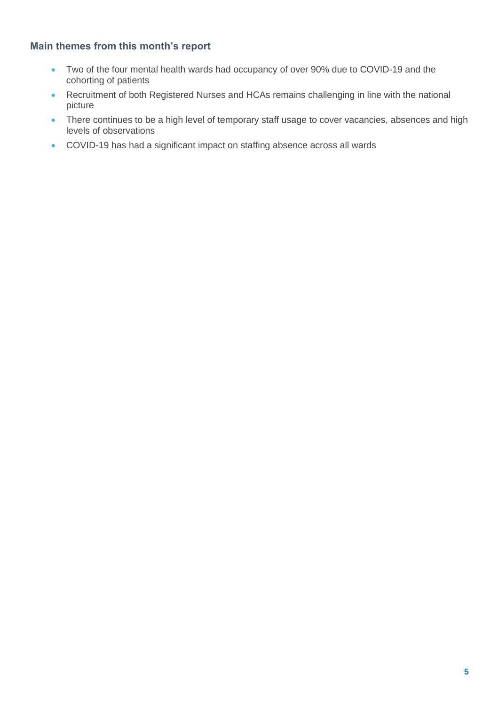#### **Main themes from this month's report**

- Two of the four mental health wards had occupancy of over 90% due to COVID-19 and the cohorting of patients
- Recruitment of both Registered Nurses and HCAs remains challenging in line with the national picture
- There continues to be a high level of temporary staff usage to cover vacancies, absences and high levels of observations
- COVID-19 has had a significant impact on staffing absence across all wards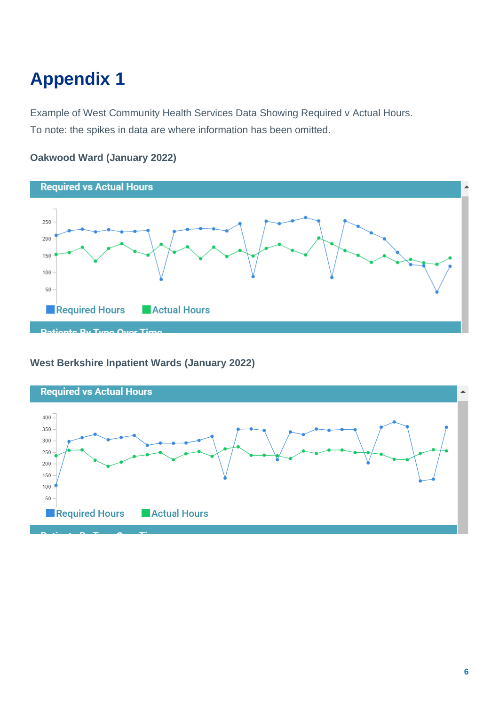# **Appendix 1**

Example of West Community Health Services Data Showing Required v Actual Hours. To note: the spikes in data are where information has been omitted.



#### **Oakwood Ward (January 2022)**

#### **West Berkshire Inpatient Wards (January 2022)**



^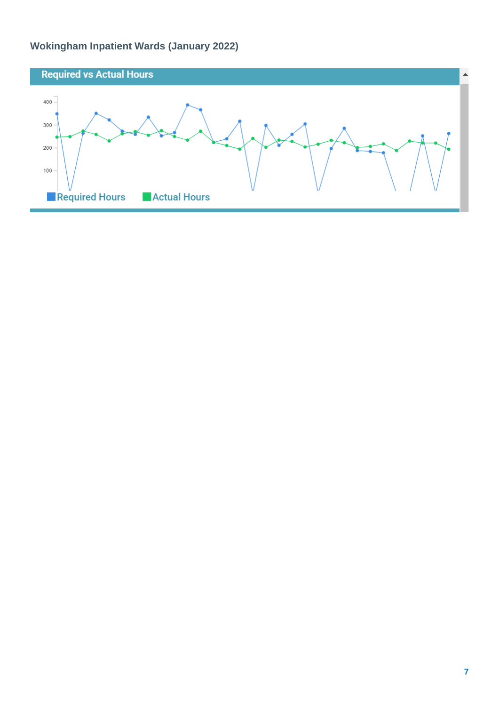### **Wokingham Inpatient Wards (January 2022)**